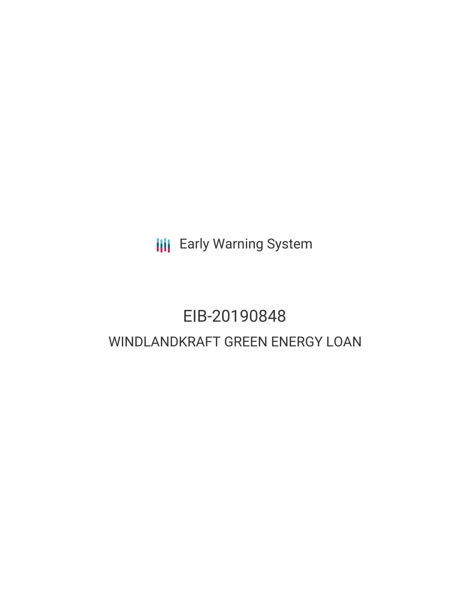**III** Early Warning System

# EIB-20190848 WINDLANDKRAFT GREEN ENERGY LOAN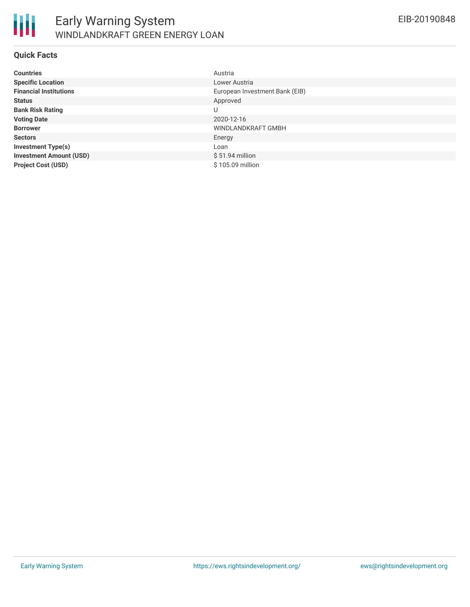

#### **Quick Facts**

| <b>Countries</b>               | Austria                        |
|--------------------------------|--------------------------------|
| <b>Specific Location</b>       | Lower Austria                  |
| <b>Financial Institutions</b>  | European Investment Bank (EIB) |
| <b>Status</b>                  | Approved                       |
| <b>Bank Risk Rating</b>        | U                              |
| <b>Voting Date</b>             | 2020-12-16                     |
| <b>Borrower</b>                | WINDLANDKRAFT GMBH             |
| <b>Sectors</b>                 | Energy                         |
| <b>Investment Type(s)</b>      | Loan                           |
| <b>Investment Amount (USD)</b> | $$51.94$ million               |
| <b>Project Cost (USD)</b>      | \$105.09 million               |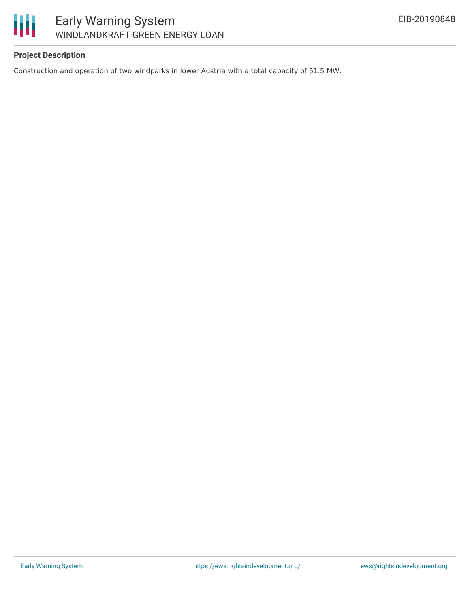

# Early Warning System WINDLANDKRAFT GREEN ENERGY LOAN

# **Project Description**

Construction and operation of two windparks in lower Austria with a total capacity of 51.5 MW.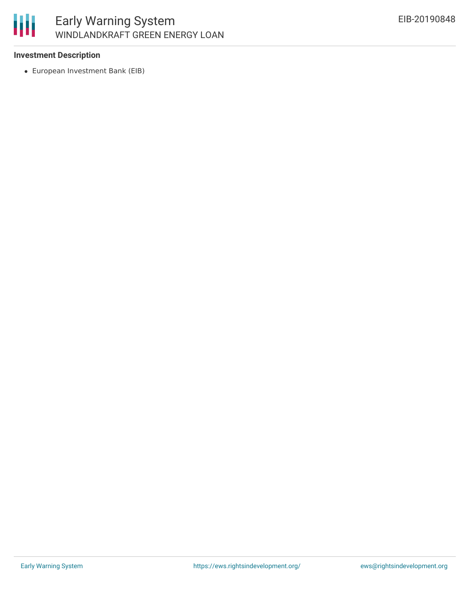

## **Investment Description**

European Investment Bank (EIB)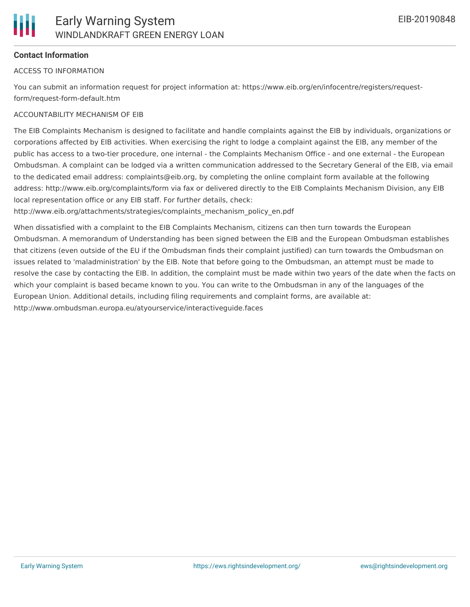

## **Contact Information**

#### ACCESS TO INFORMATION

You can submit an information request for project information at: https://www.eib.org/en/infocentre/registers/requestform/request-form-default.htm

#### ACCOUNTABILITY MECHANISM OF EIB

The EIB Complaints Mechanism is designed to facilitate and handle complaints against the EIB by individuals, organizations or corporations affected by EIB activities. When exercising the right to lodge a complaint against the EIB, any member of the public has access to a two-tier procedure, one internal - the Complaints Mechanism Office - and one external - the European Ombudsman. A complaint can be lodged via a written communication addressed to the Secretary General of the EIB, via email to the dedicated email address: complaints@eib.org, by completing the online complaint form available at the following address: http://www.eib.org/complaints/form via fax or delivered directly to the EIB Complaints Mechanism Division, any EIB local representation office or any EIB staff. For further details, check:

http://www.eib.org/attachments/strategies/complaints\_mechanism\_policy\_en.pdf

When dissatisfied with a complaint to the EIB Complaints Mechanism, citizens can then turn towards the European Ombudsman. A memorandum of Understanding has been signed between the EIB and the European Ombudsman establishes that citizens (even outside of the EU if the Ombudsman finds their complaint justified) can turn towards the Ombudsman on issues related to 'maladministration' by the EIB. Note that before going to the Ombudsman, an attempt must be made to resolve the case by contacting the EIB. In addition, the complaint must be made within two years of the date when the facts on which your complaint is based became known to you. You can write to the Ombudsman in any of the languages of the European Union. Additional details, including filing requirements and complaint forms, are available at: http://www.ombudsman.europa.eu/atyourservice/interactiveguide.faces